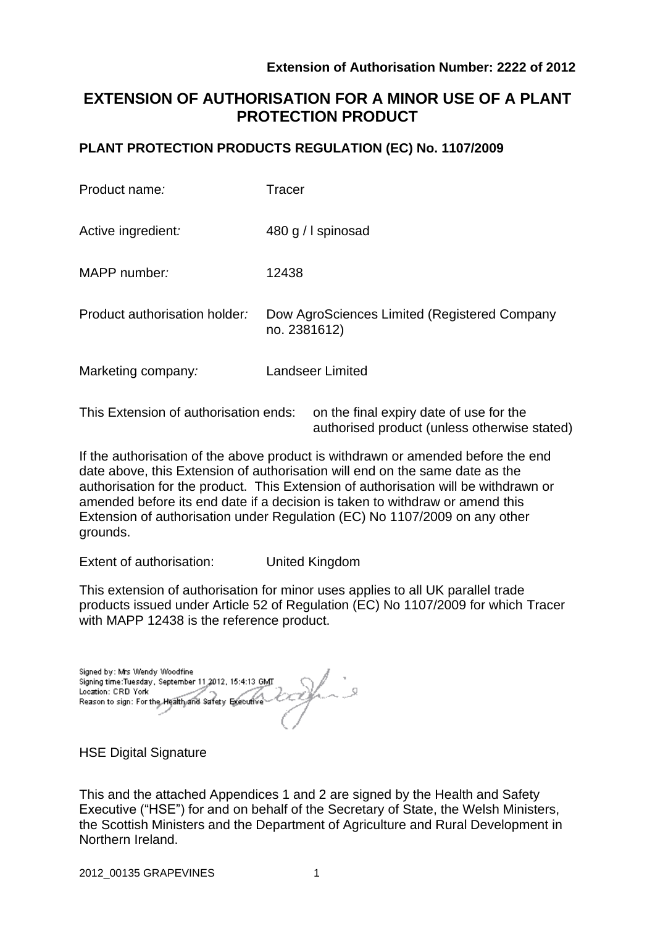# **EXTENSION OF AUTHORISATION FOR A MINOR USE OF A PLANT PROTECTION PRODUCT**

### **PLANT PROTECTION PRODUCTS REGULATION (EC) No. 1107/2009**

| Product name:                 | Tracer                                                       |
|-------------------------------|--------------------------------------------------------------|
| Active ingredient:            | 480 g / I spinosad                                           |
| MAPP number:                  | 12438                                                        |
| Product authorisation holder: | Dow AgroSciences Limited (Registered Company<br>no. 2381612) |
| Marketing company:            | <b>Landseer Limited</b>                                      |
|                               |                                                              |

This Extension of authorisation ends: on the final expiry date of use for the authorised product (unless otherwise stated)

If the authorisation of the above product is withdrawn or amended before the end date above, this Extension of authorisation will end on the same date as the authorisation for the product. This Extension of authorisation will be withdrawn or amended before its end date if a decision is taken to withdraw or amend this Extension of authorisation under Regulation (EC) No 1107/2009 on any other grounds.

Extent of authorisation: United Kingdom

This extension of authorisation for minor uses applies to all UK parallel trade products issued under Article 52 of Regulation (EC) No 1107/2009 for which Tracer with MAPP 12438 is the reference product.

Signed by: Mrs Wendy Woodfine Signing time:Tuesday, September 11,2012, 15:4:13 GMT Location: CRD York Reason to sign: For the Health and Safety Executive

**HSE Digital Signature** 

This and the attached Appendices 1 and 2 are signed by the Health and Safety Executive ("HSE") for and on behalf of the Secretary of State, the Welsh Ministers, the Scottish Ministers and the Department of Agriculture and Rural Development in Northern Ireland.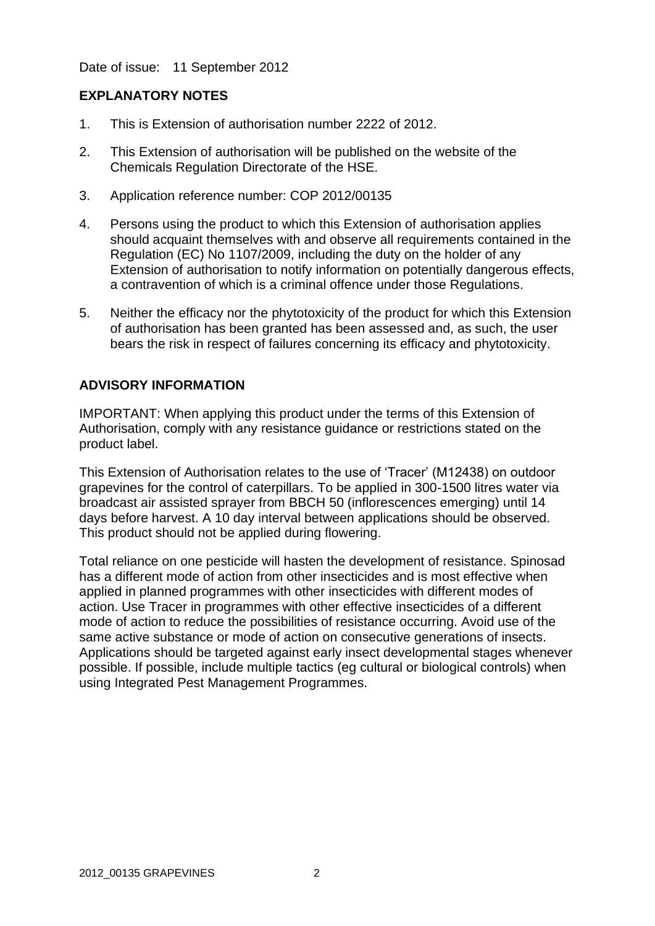Date of issue: 11 September 2012

### **EXPLANATORY NOTES**

- 1. This is Extension of authorisation number 2222 of 2012.
- 2. This Extension of authorisation will be published on the website of the Chemicals Regulation Directorate of the HSE.
- 3. Application reference number: COP 2012/00135
- 4. Persons using the product to which this Extension of authorisation applies should acquaint themselves with and observe all requirements contained in the Regulation (EC) No 1107/2009, including the duty on the holder of any Extension of authorisation to notify information on potentially dangerous effects, a contravention of which is a criminal offence under those Regulations.
- 5. Neither the efficacy nor the phytotoxicity of the product for which this Extension of authorisation has been granted has been assessed and, as such, the user bears the risk in respect of failures concerning its efficacy and phytotoxicity.

### **ADVISORY INFORMATION**

IMPORTANT: When applying this product under the terms of this Extension of Authorisation, comply with any resistance guidance or restrictions stated on the product label.

This Extension of Authorisation relates to the use of 'Tracer' (M12438) on outdoor grapevines for the control of caterpillars. To be applied in 300-1500 litres water via broadcast air assisted sprayer from BBCH 50 (inflorescences emerging) until 14 days before harvest. A 10 day interval between applications should be observed. This product should not be applied during flowering.

Total reliance on one pesticide will hasten the development of resistance. Spinosad has a different mode of action from other insecticides and is most effective when applied in planned programmes with other insecticides with different modes of action. Use Tracer in programmes with other effective insecticides of a different mode of action to reduce the possibilities of resistance occurring. Avoid use of the same active substance or mode of action on consecutive generations of insects. Applications should be targeted against early insect developmental stages whenever possible. If possible, include multiple tactics (eg cultural or biological controls) when using Integrated Pest Management Programmes.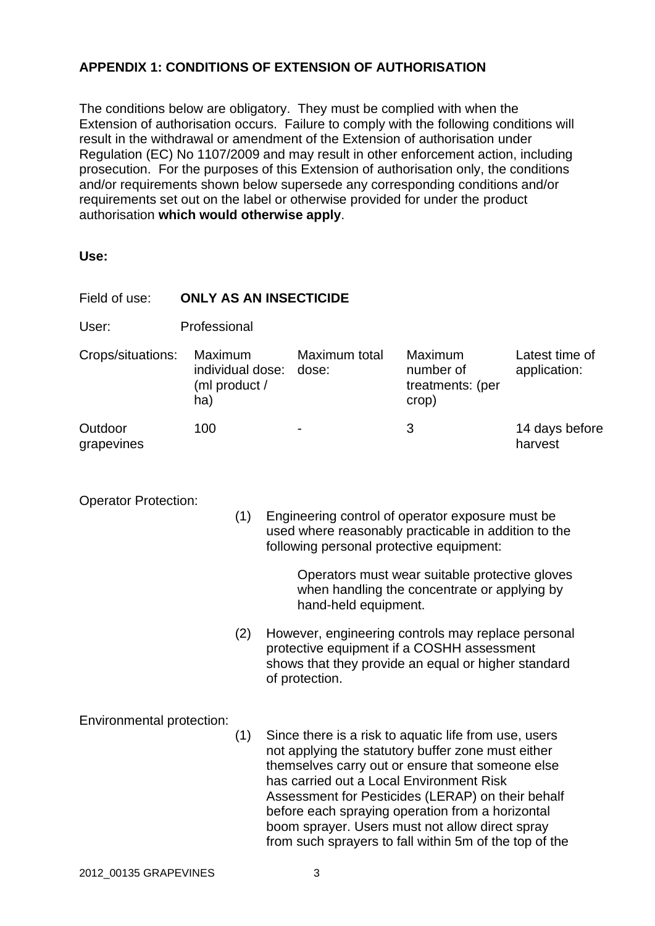## **APPENDIX 1: CONDITIONS OF EXTENSION OF AUTHORISATION**

The conditions below are obligatory. They must be complied with when the Extension of authorisation occurs. Failure to comply with the following conditions will result in the withdrawal or amendment of the Extension of authorisation under Regulation (EC) No 1107/2009 and may result in other enforcement action, including prosecution. For the purposes of this Extension of authorisation only, the conditions and/or requirements shown below supersede any corresponding conditions and/or requirements set out on the label or otherwise provided for under the product authorisation **which would otherwise apply**.

**Use:**

| Field of use:                    | <b>ONLY AS AN INSECTICIDE</b>                       |                                                                                                                                                      |                                                                                                                                                                                                                                                                                                                                                                                                                                   |                        |                                                          |                                |  |  |
|----------------------------------|-----------------------------------------------------|------------------------------------------------------------------------------------------------------------------------------------------------------|-----------------------------------------------------------------------------------------------------------------------------------------------------------------------------------------------------------------------------------------------------------------------------------------------------------------------------------------------------------------------------------------------------------------------------------|------------------------|----------------------------------------------------------|--------------------------------|--|--|
| User:                            | Professional                                        |                                                                                                                                                      |                                                                                                                                                                                                                                                                                                                                                                                                                                   |                        |                                                          |                                |  |  |
| Crops/situations:                | Maximum<br>individual dose:<br>(ml product /<br>ha) |                                                                                                                                                      |                                                                                                                                                                                                                                                                                                                                                                                                                                   | Maximum total<br>dose: | <b>Maximum</b><br>number of<br>treatments: (per<br>crop) | Latest time of<br>application: |  |  |
| Outdoor<br>grapevines            | 100                                                 |                                                                                                                                                      |                                                                                                                                                                                                                                                                                                                                                                                                                                   |                        | 3                                                        | 14 days before<br>harvest      |  |  |
| <b>Operator Protection:</b>      | (1)                                                 | Engineering control of operator exposure must be<br>used where reasonably practicable in addition to the<br>following personal protective equipment: |                                                                                                                                                                                                                                                                                                                                                                                                                                   |                        |                                                          |                                |  |  |
|                                  |                                                     |                                                                                                                                                      | Operators must wear suitable protective gloves<br>when handling the concentrate or applying by<br>hand-held equipment.                                                                                                                                                                                                                                                                                                            |                        |                                                          |                                |  |  |
|                                  |                                                     | (2)                                                                                                                                                  | However, engineering controls may replace personal<br>protective equipment if a COSHH assessment<br>shows that they provide an equal or higher standard<br>of protection.                                                                                                                                                                                                                                                         |                        |                                                          |                                |  |  |
| Environmental protection:<br>(1) |                                                     |                                                                                                                                                      | Since there is a risk to aquatic life from use, users<br>not applying the statutory buffer zone must either<br>themselves carry out or ensure that someone else<br>has carried out a Local Environment Risk<br>Assessment for Pesticides (LERAP) on their behalf<br>before each spraying operation from a horizontal<br>boom sprayer. Users must not allow direct spray<br>from such sprayers to fall within 5m of the top of the |                        |                                                          |                                |  |  |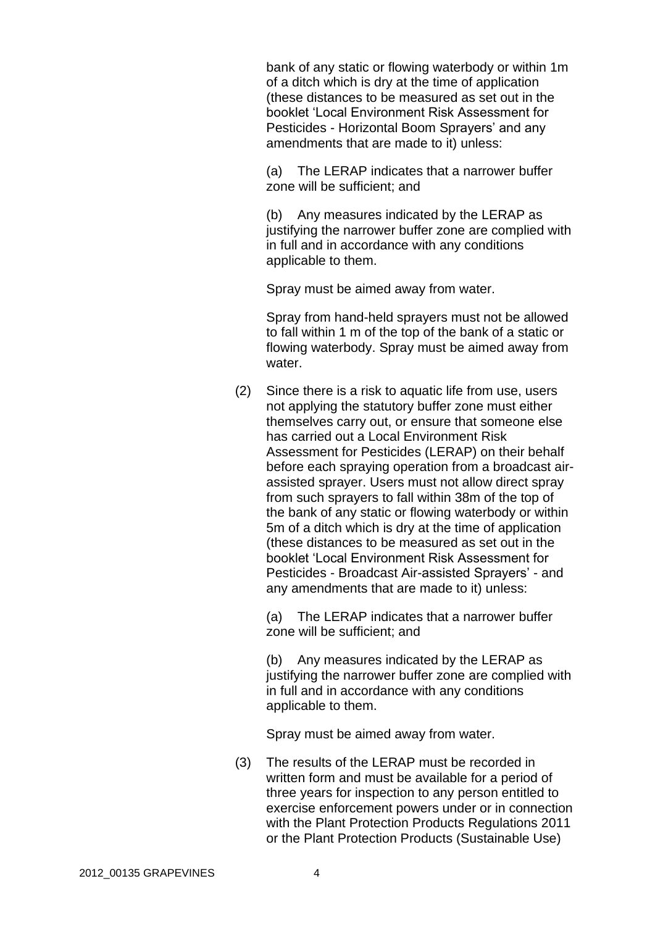bank of any static or flowing waterbody or within 1m of a ditch which is dry at the time of application (these distances to be measured as set out in the booklet 'Local Environment Risk Assessment for Pesticides - Horizontal Boom Sprayers' and any amendments that are made to it) unless:

(a) The LERAP indicates that a narrower buffer zone will be sufficient; and

(b) Any measures indicated by the LERAP as justifying the narrower buffer zone are complied with in full and in accordance with any conditions applicable to them.

Spray must be aimed away from water.

Spray from hand-held sprayers must not be allowed to fall within 1 m of the top of the bank of a static or flowing waterbody. Spray must be aimed away from water.

(2) Since there is a risk to aquatic life from use, users not applying the statutory buffer zone must either themselves carry out, or ensure that someone else has carried out a Local Environment Risk Assessment for Pesticides (LERAP) on their behalf before each spraying operation from a broadcast airassisted sprayer. Users must not allow direct spray from such sprayers to fall within 38m of the top of the bank of any static or flowing waterbody or within 5m of a ditch which is dry at the time of application (these distances to be measured as set out in the booklet 'Local Environment Risk Assessment for Pesticides - Broadcast Air-assisted Sprayers' - and any amendments that are made to it) unless:

(a) The LERAP indicates that a narrower buffer zone will be sufficient; and

(b) Any measures indicated by the LERAP as justifying the narrower buffer zone are complied with in full and in accordance with any conditions applicable to them.

Spray must be aimed away from water.

(3) The results of the LERAP must be recorded in written form and must be available for a period of three years for inspection to any person entitled to exercise enforcement powers under or in connection with the Plant Protection Products Regulations 2011 or the Plant Protection Products (Sustainable Use)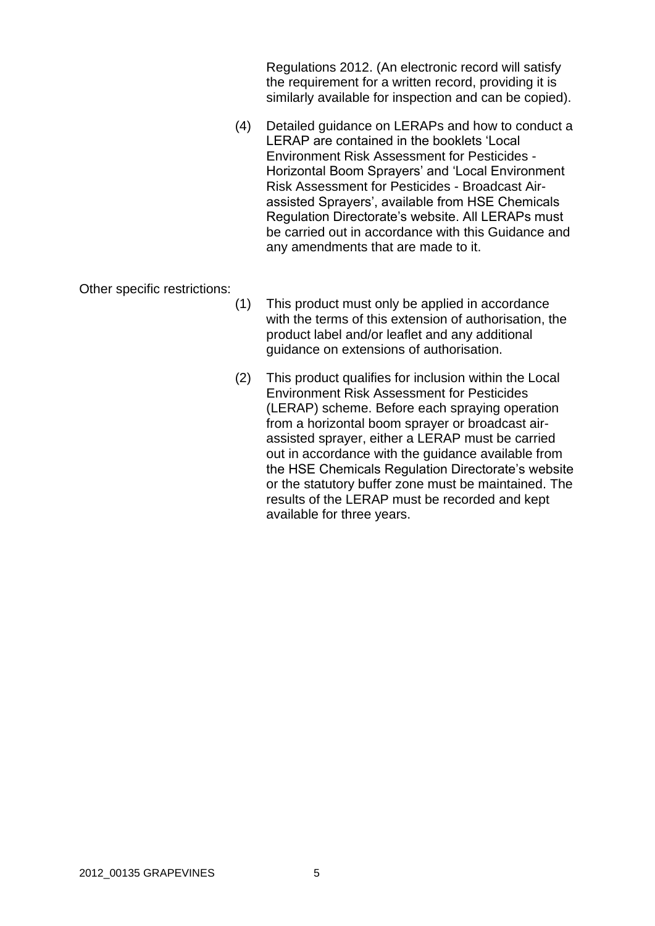Regulations 2012. (An electronic record will satisfy the requirement for a written record, providing it is similarly available for inspection and can be copied).

(4) Detailed guidance on LERAPs and how to conduct a LERAP are contained in the booklets 'Local Environment Risk Assessment for Pesticides - Horizontal Boom Sprayers' and 'Local Environment Risk Assessment for Pesticides - Broadcast Airassisted Sprayers', available from HSE Chemicals Regulation Directorate's website. All LERAPs must be carried out in accordance with this Guidance and any amendments that are made to it.

Other specific restrictions:

- (1) This product must only be applied in accordance with the terms of this extension of authorisation, the product label and/or leaflet and any additional guidance on extensions of authorisation.
- (2) This product qualifies for inclusion within the Local Environment Risk Assessment for Pesticides (LERAP) scheme. Before each spraying operation from a horizontal boom sprayer or broadcast airassisted sprayer, either a LERAP must be carried out in accordance with the guidance available from the HSE Chemicals Regulation Directorate's website or the statutory buffer zone must be maintained. The results of the LERAP must be recorded and kept available for three years.